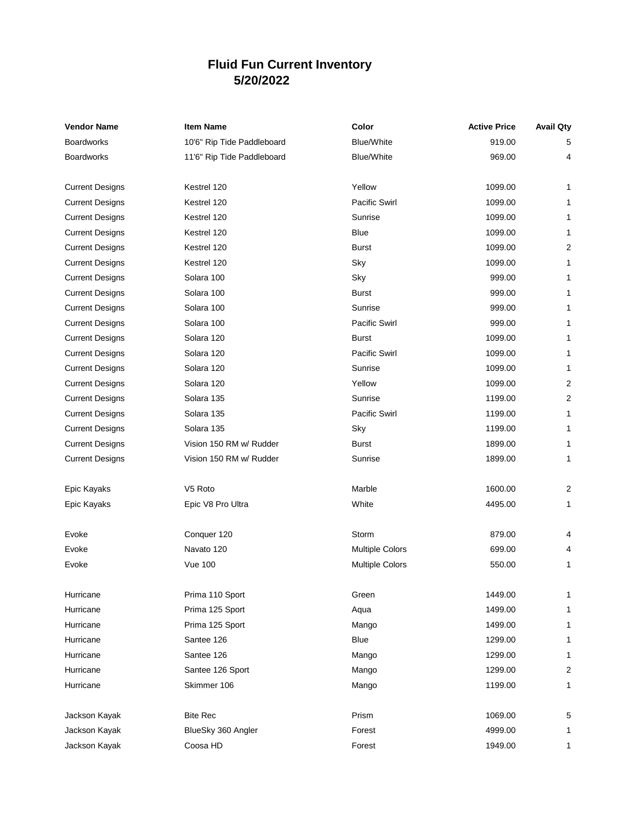## **Fluid Fun Current Inventory 5/20/2022**

| <b>Vendor Name</b>     | <b>Item Name</b>           | Color                  | <b>Active Price</b> | <b>Avail Qty</b> |
|------------------------|----------------------------|------------------------|---------------------|------------------|
| <b>Boardworks</b>      | 10'6" Rip Tide Paddleboard | <b>Blue/White</b>      | 919.00              | 5                |
| <b>Boardworks</b>      | 11'6" Rip Tide Paddleboard | <b>Blue/White</b>      | 969.00              | 4                |
|                        |                            |                        |                     |                  |
| <b>Current Designs</b> | Kestrel 120                | Yellow                 | 1099.00             | 1                |
| <b>Current Designs</b> | Kestrel 120                | <b>Pacific Swirl</b>   | 1099.00             | 1                |
| <b>Current Designs</b> | Kestrel 120                | Sunrise                | 1099.00             | 1                |
| <b>Current Designs</b> | Kestrel 120                | Blue                   | 1099.00             | 1                |
| <b>Current Designs</b> | Kestrel 120                | <b>Burst</b>           | 1099.00             | 2                |
| <b>Current Designs</b> | Kestrel 120                | Sky                    | 1099.00             | 1                |
| <b>Current Designs</b> | Solara 100                 | Sky                    | 999.00              | 1                |
| <b>Current Designs</b> | Solara 100                 | <b>Burst</b>           | 999.00              | $\mathbf{1}$     |
| <b>Current Designs</b> | Solara 100                 | Sunrise                | 999.00              | 1                |
| <b>Current Designs</b> | Solara 100                 | <b>Pacific Swirl</b>   | 999.00              | 1                |
| <b>Current Designs</b> | Solara 120                 | <b>Burst</b>           | 1099.00             | 1                |
| <b>Current Designs</b> | Solara 120                 | Pacific Swirl          | 1099.00             | 1                |
| <b>Current Designs</b> | Solara 120                 | Sunrise                | 1099.00             | 1                |
| <b>Current Designs</b> | Solara 120                 | Yellow                 | 1099.00             | 2                |
| <b>Current Designs</b> | Solara 135                 | Sunrise                | 1199.00             | $\boldsymbol{2}$ |
| <b>Current Designs</b> | Solara 135                 | Pacific Swirl          | 1199.00             | 1                |
| <b>Current Designs</b> | Solara 135                 | Sky                    | 1199.00             | 1                |
| <b>Current Designs</b> | Vision 150 RM w/ Rudder    | <b>Burst</b>           | 1899.00             | 1                |
| <b>Current Designs</b> | Vision 150 RM w/ Rudder    | Sunrise                | 1899.00             | 1                |
|                        |                            |                        |                     |                  |
| Epic Kayaks            | V <sub>5</sub> Roto        | Marble                 | 1600.00             | $\overline{c}$   |
| Epic Kayaks            | Epic V8 Pro Ultra          | White                  | 4495.00             | 1                |
| Evoke                  | Conquer 120                | Storm                  | 879.00              | 4                |
| Evoke                  | Navato 120                 | <b>Multiple Colors</b> | 699.00              | 4                |
| Evoke                  | <b>Vue 100</b>             | <b>Multiple Colors</b> | 550.00              | 1                |
| Hurricane              | Prima 110 Sport            | Green                  | 1449.00             | 1                |
| Hurricane              | Prima 125 Sport            | Aqua                   | 1499.00             | 1                |
| Hurricane              | Prima 125 Sport            | Mango                  | 1499.00             | 1                |
| Hurricane              | Santee 126                 | Blue                   | 1299.00             | 1                |
| Hurricane              | Santee 126                 | Mango                  | 1299.00             | 1                |
| Hurricane              | Santee 126 Sport           | Mango                  | 1299.00             | $\overline{c}$   |
| Hurricane              | Skimmer 106                |                        | 1199.00             |                  |
|                        |                            | Mango                  |                     | 1                |
| Jackson Kayak          | <b>Bite Rec</b>            | Prism                  | 1069.00             | 5                |
| Jackson Kayak          | BlueSky 360 Angler         | Forest                 | 4999.00             | 1                |
| Jackson Kayak          | Coosa HD                   | Forest                 | 1949.00             | 1                |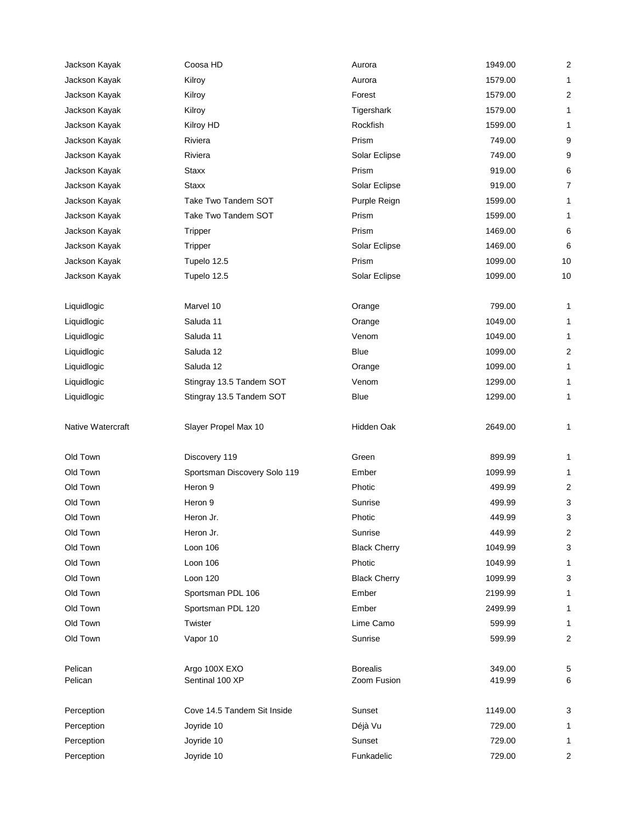| Jackson Kayak            | Coosa HD                     | Aurora               | 1949.00          | $\overline{2}$ |
|--------------------------|------------------------------|----------------------|------------------|----------------|
| Jackson Kayak            | Kilroy                       | Aurora               | 1579.00          | 1              |
| Jackson Kayak            | Kilroy                       | Forest               | 1579.00          | $\overline{2}$ |
| Jackson Kayak            | Kilroy                       | Tigershark           | 1579.00          | 1              |
| Jackson Kayak            | Kilroy HD                    | Rockfish             | 1599.00          | 1              |
| Jackson Kayak            | Riviera                      | Prism                | 749.00           | 9              |
| Jackson Kayak            | Riviera                      | Solar Eclipse        | 749.00           | 9              |
| Jackson Kayak            | <b>Staxx</b>                 | Prism                | 919.00           | 6              |
| Jackson Kayak            | <b>Staxx</b>                 | Solar Eclipse        | 919.00           | 7              |
| Jackson Kayak            | Take Two Tandem SOT          | Purple Reign         | 1599.00          | 1              |
| Jackson Kayak            | Take Two Tandem SOT          | Prism                | 1599.00          | 1              |
| Jackson Kayak            | Tripper                      | Prism                | 1469.00          | 6              |
| Jackson Kayak            | Tripper                      | Solar Eclipse        | 1469.00          | 6              |
| Jackson Kayak            | Tupelo 12.5                  | Prism                | 1099.00          | 10             |
| Jackson Kayak            | Tupelo 12.5                  | Solar Eclipse        | 1099.00          | 10             |
|                          |                              |                      |                  |                |
| Liquidlogic              | Marvel 10                    | Orange               | 799.00           | 1              |
| Liquidlogic              | Saluda 11                    | Orange               | 1049.00          | 1              |
| Liquidlogic              | Saluda 11                    | Venom                | 1049.00          | 1              |
| Liquidlogic              | Saluda 12                    | Blue                 | 1099.00          | $\overline{2}$ |
| Liquidlogic              | Saluda 12                    | Orange               | 1099.00          | 1              |
| Liquidlogic              | Stingray 13.5 Tandem SOT     | Venom                | 1299.00          | 1              |
| Liquidlogic              | Stingray 13.5 Tandem SOT     | Blue                 | 1299.00          | 1              |
| <b>Native Watercraft</b> | Slayer Propel Max 10         | Hidden Oak           | 2649.00          | 1              |
| Old Town                 | Discovery 119                | Green                | 899.99           | 1              |
| Old Town                 | Sportsman Discovery Solo 119 | Ember                | 1099.99          | 1              |
| Old Town                 | Heron 9                      | Photic               | 499.99           | 2              |
| Old Town                 | Heron 9                      | Sunrise              | 499.99           | 3              |
| Old Town                 | Heron Jr.                    | Photic               | 449.99           | 3              |
| Old Town                 | Heron Jr.                    | Sunrise              | 449.99           | $\overline{2}$ |
| Old Town                 | Loon 106                     | <b>Black Cherry</b>  | 1049.99          | 3              |
| Old Town                 | Loon 106                     | Photic               | 1049.99          | 1              |
| Old Town                 | Loon 120                     | <b>Black Cherry</b>  | 1099.99          | 3              |
| Old Town                 | Sportsman PDL 106            | Ember                | 2199.99          | 1              |
| Old Town                 | Sportsman PDL 120            | Ember                | 2499.99          | 1              |
| Old Town                 | Twister                      | Lime Camo            | 599.99           | 1              |
| Old Town                 | Vapor 10                     | Sunrise              | 599.99           | $\overline{2}$ |
|                          |                              |                      |                  |                |
| Pelican                  | Argo 100X EXO                | <b>Borealis</b>      | 349.00           | 5              |
| Pelican                  | Sentinal 100 XP              | Zoom Fusion          | 419.99           | 6              |
| Perception               | Cove 14.5 Tandem Sit Inside  | Sunset               | 1149.00          | 3              |
|                          |                              |                      |                  |                |
|                          |                              |                      |                  |                |
| Perception               | Joyride 10                   | Déjà Vu              | 729.00           | 1              |
| Perception<br>Perception | Joyride 10<br>Joyride 10     | Sunset<br>Funkadelic | 729.00<br>729.00 | 1<br>2         |